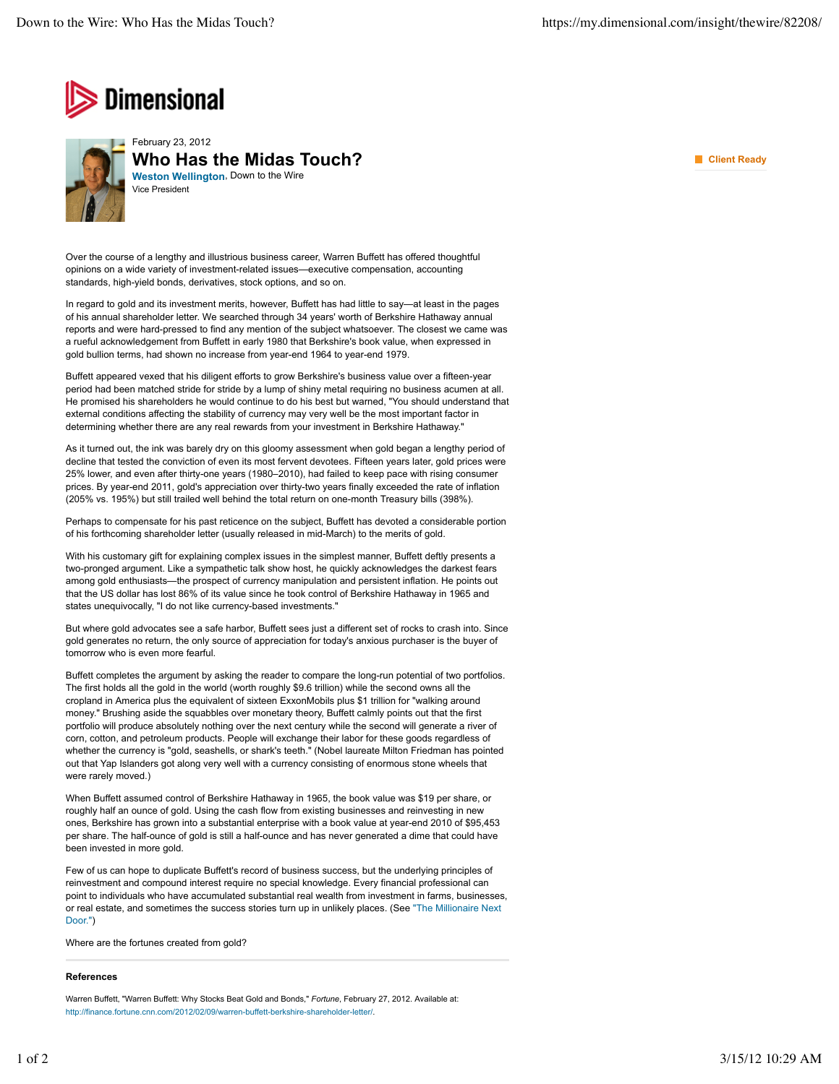



Over the course of a lengthy and illustrious business career, Warren Buffett has offered thoughtful opinions on a wide variety of investment-related issues—executive compensation, accounting standards, high-yield bonds, derivatives, stock options, and so on.

In regard to gold and its investment merits, however, Buffett has had little to say—at least in the pages of his annual shareholder letter. We searched through 34 years' worth of Berkshire Hathaway annual reports and were hard-pressed to find any mention of the subject whatsoever. The closest we came was a rueful acknowledgement from Buffett in early 1980 that Berkshire's book value, when expressed in gold bullion terms, had shown no increase from year-end 1964 to year-end 1979.

Buffett appeared vexed that his diligent efforts to grow Berkshire's business value over a fifteen-year period had been matched stride for stride by a lump of shiny metal requiring no business acumen at all. He promised his shareholders he would continue to do his best but warned, "You should understand that external conditions affecting the stability of currency may very well be the most important factor in determining whether there are any real rewards from your investment in Berkshire Hathaway."

As it turned out, the ink was barely dry on this gloomy assessment when gold began a lengthy period of decline that tested the conviction of even its most fervent devotees. Fifteen years later, gold prices were 25% lower, and even after thirty-one years (1980–2010), had failed to keep pace with rising consumer prices. By year-end 2011, gold's appreciation over thirty-two years finally exceeded the rate of inflation (205% vs. 195%) but still trailed well behind the total return on one-month Treasury bills (398%).

Perhaps to compensate for his past reticence on the subject, Buffett has devoted a considerable portion of his forthcoming shareholder letter (usually released in mid-March) to the merits of gold.

With his customary gift for explaining complex issues in the simplest manner, Buffett deftly presents a two-pronged argument. Like a sympathetic talk show host, he quickly acknowledges the darkest fears among gold enthusiasts—the prospect of currency manipulation and persistent inflation. He points out that the US dollar has lost 86% of its value since he took control of Berkshire Hathaway in 1965 and states unequivocally, "I do not like currency-based investments."

But where gold advocates see a safe harbor, Buffett sees just a different set of rocks to crash into. Since gold generates no return, the only source of appreciation for today's anxious purchaser is the buyer of tomorrow who is even more fearful.

Buffett completes the argument by asking the reader to compare the long-run potential of two portfolios. The first holds all the gold in the world (worth roughly \$9.6 trillion) while the second owns all the cropland in America plus the equivalent of sixteen ExxonMobils plus \$1 trillion for "walking around money." Brushing aside the squabbles over monetary theory, Buffett calmly points out that the first portfolio will produce absolutely nothing over the next century while the second will generate a river of corn, cotton, and petroleum products. People will exchange their labor for these goods regardless of whether the currency is "gold, seashells, or shark's teeth." (Nobel laureate Milton Friedman has pointed out that Yap Islanders got along very well with a currency consisting of enormous stone wheels that were rarely moved.)

When Buffett assumed control of Berkshire Hathaway in 1965, the book value was \$19 per share, or roughly half an ounce of gold. Using the cash flow from existing businesses and reinvesting in new ones, Berkshire has grown into a substantial enterprise with a book value at year-end 2010 of \$95,453 per share. The half-ounce of gold is still a half-ounce and has never generated a dime that could have been invested in more gold.

Few of us can hope to duplicate Buffett's record of business success, but the underlying principles of reinvestment and compound interest require no special knowledge. Every financial professional can point to individuals who have accumulated substantial real wealth from investment in farms, businesses, or real estate, and sometimes the success stories turn up in unlikely places. (See "The Millionaire Next Door.")

Where are the fortunes created from gold?

## **References**

Warren Buffett, "Warren Buffett: Why Stocks Beat Gold and Bonds," *Fortune*, February 27, 2012. Available at: http://finance.fortune.cnn.com/2012/02/09/warren-buffett-berkshire-shareholder-letter/.

**Client Ready**